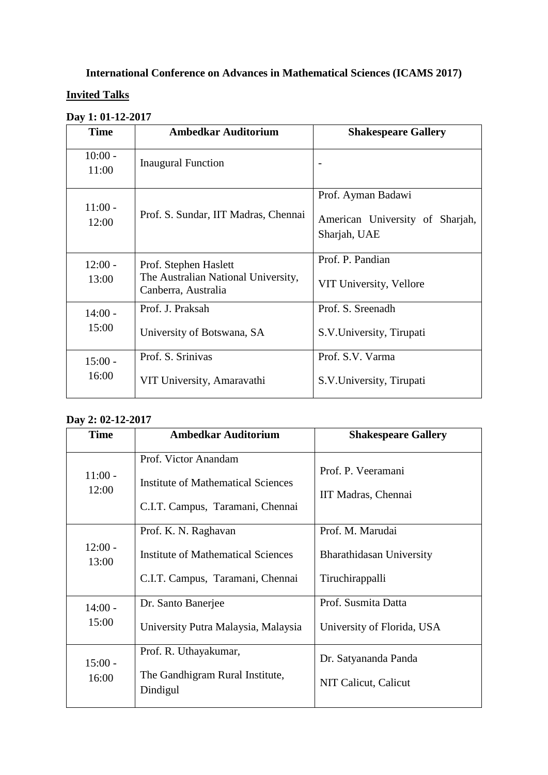# **International Conference on Advances in Mathematical Sciences (ICAMS 2017)**

### **Invited Talks**

|  | Day 1: 01-12-2017 |
|--|-------------------|
|  |                   |

| <b>Time</b>        | <b>Ambedkar Auditorium</b>                                                          | <b>Shakespeare Gallery</b>                                            |  |
|--------------------|-------------------------------------------------------------------------------------|-----------------------------------------------------------------------|--|
| $10:00 -$<br>11:00 | <b>Inaugural Function</b>                                                           |                                                                       |  |
| $11:00 -$<br>12:00 | Prof. S. Sundar, IIT Madras, Chennai                                                | Prof. Ayman Badawi<br>American University of Sharjah,<br>Sharjah, UAE |  |
| $12:00 -$<br>13:00 | Prof. Stephen Haslett<br>The Australian National University,<br>Canberra, Australia | Prof. P. Pandian<br>VIT University, Vellore                           |  |
| $14:00 -$<br>15:00 | Prof. J. Praksah<br>University of Botswana, SA                                      | Prof. S. Sreenadh<br>S.V. University, Tirupati                        |  |
| $15:00 -$<br>16:00 | Prof. S. Srinivas<br>VIT University, Amaravathi                                     | Prof. S.V. Varma<br>S.V. University, Tirupati                         |  |

#### **Day 2: 02-12-2017**

| <b>Time</b>        | <b>Ambedkar Auditorium</b>                                                                            | <b>Shakespeare Gallery</b>                                      |
|--------------------|-------------------------------------------------------------------------------------------------------|-----------------------------------------------------------------|
| $11:00 -$<br>12:00 | Prof. Victor Anandam<br><b>Institute of Mathematical Sciences</b><br>C.I.T. Campus, Taramani, Chennai | Prof. P. Veeramani<br>IIT Madras, Chennai                       |
| $12:00 -$<br>13:00 | Prof. K. N. Raghavan<br><b>Institute of Mathematical Sciences</b><br>C.I.T. Campus, Taramani, Chennai | Prof. M. Marudai<br>Bharathidasan University<br>Tiruchirappalli |
| $14:00 -$<br>15:00 | Dr. Santo Banerjee<br>University Putra Malaysia, Malaysia                                             | Prof. Susmita Datta<br>University of Florida, USA               |
| $15:00 -$<br>16:00 | Prof. R. Uthayakumar,<br>The Gandhigram Rural Institute,<br>Dindigul                                  | Dr. Satyananda Panda<br>NIT Calicut, Calicut                    |